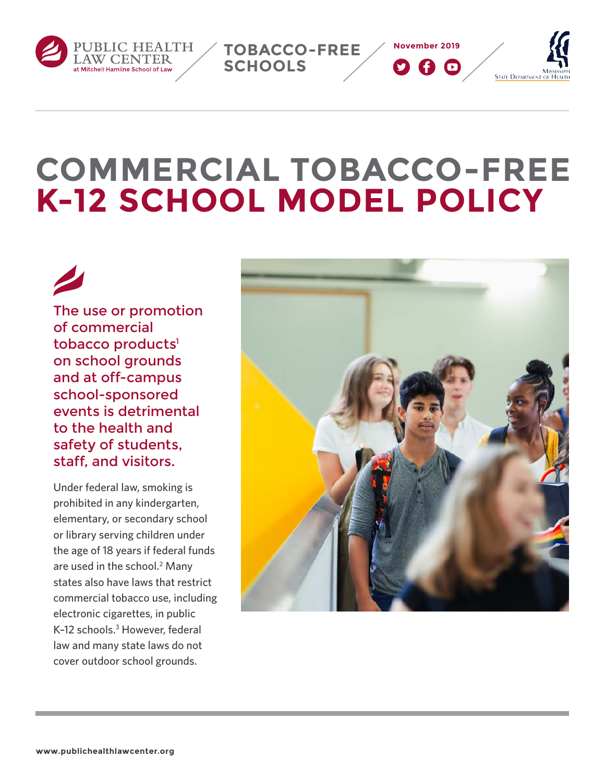<span id="page-0-0"></span>



**TOBACCO-FREE** 

**SCHOOLS**

# The use or promotion of commercial tobacco products<sup>1</sup> on school grounds and at off‑campus school‑sponsored events is detrimental to the health and safety of students, staff, and visitors.

Under federal law, smoking is prohibited in any kindergarten, elementary, or secondary school or library serving children under the age of 18 years if federal funds are used in the school.<sup>2</sup> Many states also have laws that restrict commercial tobacco use, including electronic cigarettes, in public K-12 schools.<sup>3</sup> However, federal law and many state laws do not cover outdoor school grounds.



**November 2019**

900

**STATE DEPARTMENT**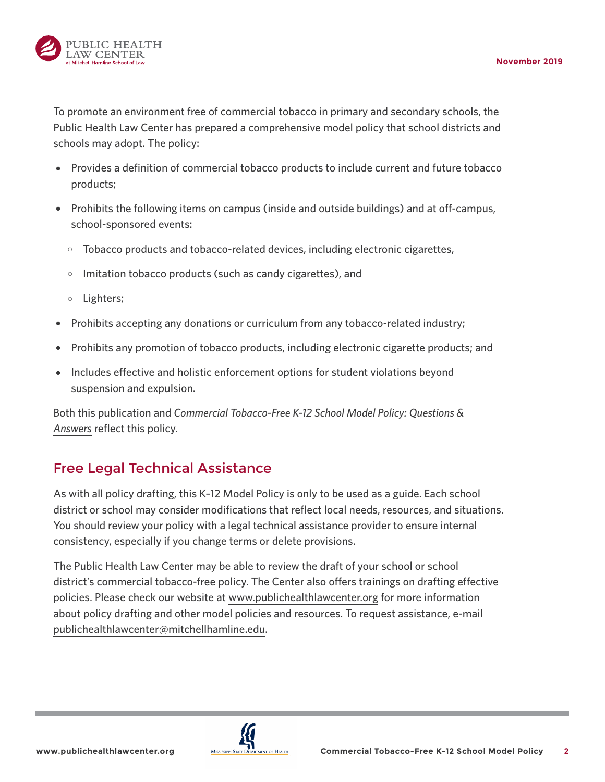

To promote an environment free of commercial tobacco in primary and secondary schools, the Public Health Law Center has prepared a comprehensive model policy that school districts and schools may adopt. The policy:

- Provides a definition of commercial tobacco products to include current and future tobacco products;
- Prohibits the following items on campus (inside and outside buildings) and at off-campus, school-sponsored events:
	- $\circ$  Tobacco products and tobacco-related devices, including electronic cigarettes,
	- $\circ$  Imitation tobacco products (such as candy cigarettes), and
	- $\circ$  Lighters;
- Prohibits accepting any donations or curriculum from any tobacco-related industry;
- { Prohibits any promotion of tobacco products, including electronic cigarette products; and
- { Includes effective and holistic enforcement options for student violations beyond suspension and expulsion.

Both this publication and *[Commercial Tobacco-Free K-12 School Model Policy: Questions &](https://www.publichealthlawcenter.org/sites/default/files/resources/Commercial-Tobacco-Free-K-12-School-Model-Policy-Q-and-A-2019.pdf)  [Answers](https://www.publichealthlawcenter.org/sites/default/files/resources/Commercial-Tobacco-Free-K-12-School-Model-Policy-Q-and-A-2019.pdf)* reflect this policy.

# Free Legal Technical Assistance

As with all policy drafting, this K–12 Model Policy is only to be used as a guide. Each school district or school may consider modifications that reflect local needs, resources, and situations. You should review your policy with a legal technical assistance provider to ensure internal consistency, especially if you change terms or delete provisions.

The Public Health Law Center may be able to review the draft of your school or school district's commercial tobacco-free policy. The Center also offers trainings on drafting effective policies. Please check our website at [www.publichealthlawcenter.org](http://www.publichealthlawcenter.org) for more information about policy drafting and other model policies and resources. To request assistance, e-mail [publichealthlawcenter@mitchellhamline.edu](mailto:publichealthlawcenter%40mitchellhamline.edu?subject=).

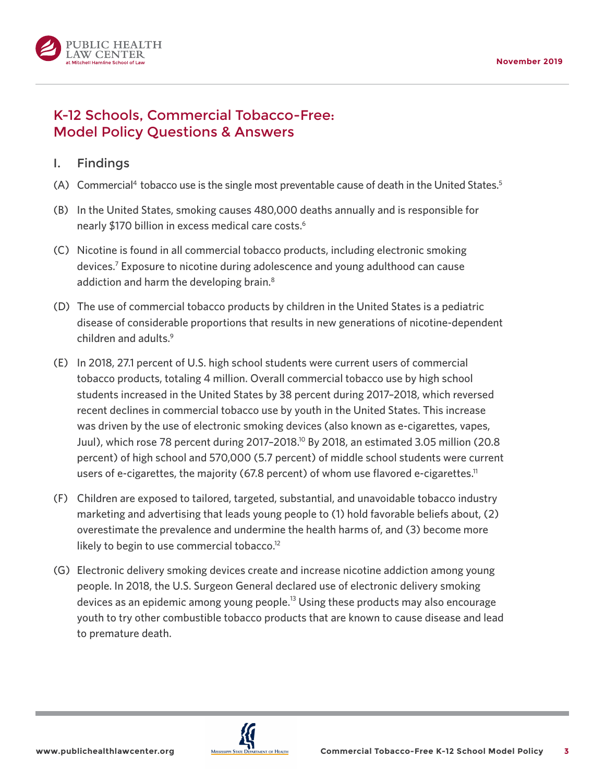<span id="page-2-0"></span>

# K-12 Schools, Commercial Tobacco-Free: Model Policy Questions & Answers

#### I. Findings

- (A) Commercial<sup>[4](#page-10-0)</sup> tobacco use is the single most preventable cause of death in the United States.<sup>5</sup>
- (B) In the United States, smoking causes 480,000 deaths annually and is responsible for nearly \$170 billion in excess medical care costs.<sup>[6](#page-10-0)</sup>
- (C) Nicotine is found in all commercial tobacco products, including electronic smoking devices[.7](#page-10-0) Exposure to nicotine during adolescence and young adulthood can cause addiction and harm the developing brain.<sup>8</sup>
- (D) The use of commercial tobacco products by children in the United States is a pediatric disease of considerable proportions that results in new generations of nicotine-dependent children and adults.<sup>9</sup>
- (E) In 2018, 27.1 percent of U.S. high school students were current users of commercial tobacco products, totaling 4 million. Overall commercial tobacco use by high school students increased in the United States by 38 percent during 2017–2018, which reversed recent declines in commercial tobacco use by youth in the United States. This increase was driven by the use of electronic smoking devices (also known as e-cigarettes, vapes, Juul), which rose 78 percent during 2017–2018[.10](#page-11-0) By 2018, an estimated 3.05 million (20.8 percent) of high school and 570,000 (5.7 percent) of middle school students were current users of e-cigarettes, the majority (67.8 percent) of whom use flavored e-cigarettes.<sup>11</sup>
- (F) Children are exposed to tailored, targeted, substantial, and unavoidable tobacco industry marketing and advertising that leads young people to (1) hold favorable beliefs about, (2) overestimate the prevalence and undermine the health harms of, and (3) become more likely to begin to use commercial tobacco.<sup>12</sup>
- (G) Electronic delivery smoking devices create and increase nicotine addiction among young people. In 2018, the U.S. Surgeon General declared use of electronic delivery smoking devices as an epidemic among young people.<sup>[13](#page-11-0)</sup> Using these products may also encourage youth to try other combustible tobacco products that are known to cause disease and lead to premature death.

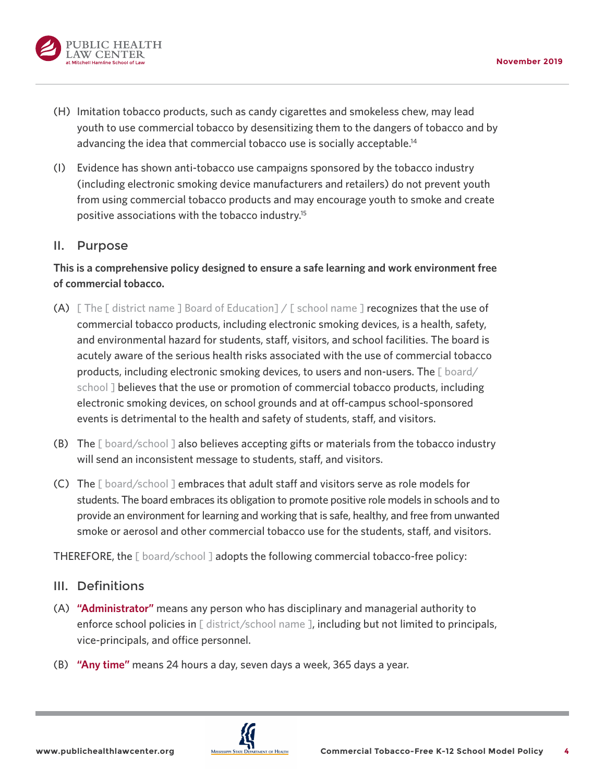<span id="page-3-0"></span>

- (H) Imitation tobacco products, such as candy cigarettes and smokeless chew, may lead youth to use commercial tobacco by desensitizing them to the dangers of tobacco and by advancing the idea that commercial tobacco use is socially acceptable[.14](#page-11-0)
- (I) Evidence has shown anti-tobacco use campaigns sponsored by the tobacco industry (including electronic smoking device manufacturers and retailers) do not prevent youth from using commercial tobacco products and may encourage youth to smoke and create positive associations with the tobacco industry[.15](#page-11-0)

#### II. Purpose

**This is a comprehensive policy designed to ensure a safe learning and work environment free of commercial tobacco.**

- (A)  $\Box$  The  $\Box$  district name  $\Box$  Board of Education $\Box$  /  $\Box$  school name  $\Box$  recognizes that the use of commercial tobacco products, including electronic smoking devices, is a health, safety, and environmental hazard for students, staff, visitors, and school facilities. The board is acutely aware of the serious health risks associated with the use of commercial tobacco products, including electronic smoking devices, to users and non-users. The [ board/ school I believes that the use or promotion of commercial tobacco products, including electronic smoking devices, on school grounds and at off-campus school-sponsored events is detrimental to the health and safety of students, staff, and visitors.
- (B) The  $[$  board/school  $]$  also believes accepting gifts or materials from the tobacco industry will send an inconsistent message to students, staff, and visitors.
- (C) The [ board/school ] embraces that adult staff and visitors serve as role models for students. The board embraces its obligation to promote positive role models in schools and to provide an environment for learning and working that is safe, healthy, and free from unwanted smoke or aerosol and other commercial tobacco use for the students, staff, and visitors.

THEREFORE, the [ board/school ] adopts the following commercial tobacco-free policy:

#### III. Definitions

- (A) **"Administrator"** means any person who has disciplinary and managerial authority to enforce school policies in [ district/school name ], including but not limited to principals, vice-principals, and office personnel.
- (B) **"Any time"** means 24 hours a day, seven days a week, 365 days a year.

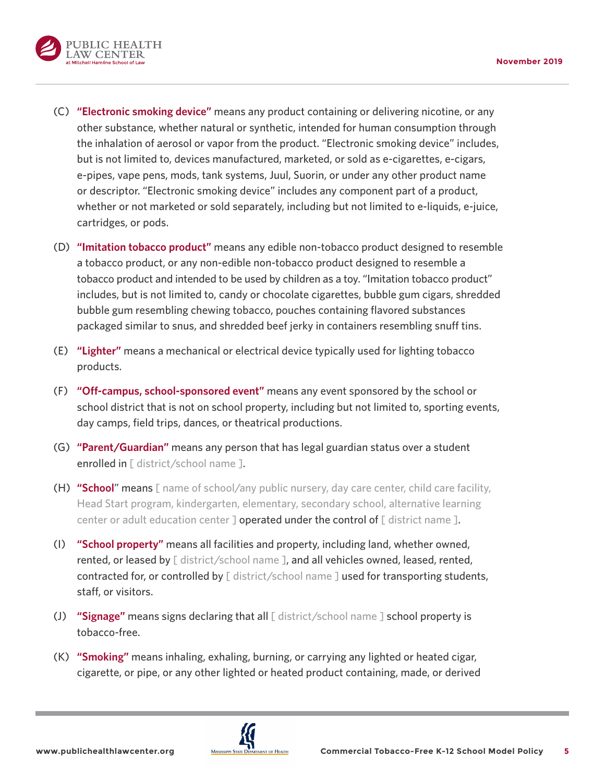

- (C) **"Electronic smoking device"** means any product containing or delivering nicotine, or any other substance, whether natural or synthetic, intended for human consumption through the inhalation of aerosol or vapor from the product. "Electronic smoking device" includes, but is not limited to, devices manufactured, marketed, or sold as e-cigarettes, e-cigars, e-pipes, vape pens, mods, tank systems, Juul, Suorin, or under any other product name or descriptor. "Electronic smoking device" includes any component part of a product, whether or not marketed or sold separately, including but not limited to e-liquids, e-juice, cartridges, or pods.
- (D) **"Imitation tobacco product"** means any edible non-tobacco product designed to resemble a tobacco product, or any non-edible non-tobacco product designed to resemble a tobacco product and intended to be used by children as a toy. "Imitation tobacco product" includes, but is not limited to, candy or chocolate cigarettes, bubble gum cigars, shredded bubble gum resembling chewing tobacco, pouches containing flavored substances packaged similar to snus, and shredded beef jerky in containers resembling snuff tins.
- (E) **"Lighter"** means a mechanical or electrical device typically used for lighting tobacco products.
- (F) **"Off-campus, school-sponsored event"** means any event sponsored by the school or school district that is not on school property, including but not limited to, sporting events, day camps, field trips, dances, or theatrical productions.
- (G) **"Parent/Guardian"** means any person that has legal guardian status over a student enrolled in [ district/school name ].
- (H) **"School**" means [ name of school/any public nursery, day care center, child care facility, Head Start program, kindergarten, elementary, secondary school, alternative learning center or adult education center  $\jmath$  operated under the control of  $\lceil$  district name  $\rceil$ .
- (I) **"School property"** means all facilities and property, including land, whether owned, rented, or leased by [ district/school name ], and all vehicles owned, leased, rented, contracted for, or controlled by [district/school name ] used for transporting students, staff, or visitors.
- (J) **"Signage"** means signs declaring that all [ district/school name ] school property is tobacco-free.
- (K) **"Smoking"** means inhaling, exhaling, burning, or carrying any lighted or heated cigar, cigarette, or pipe, or any other lighted or heated product containing, made, or derived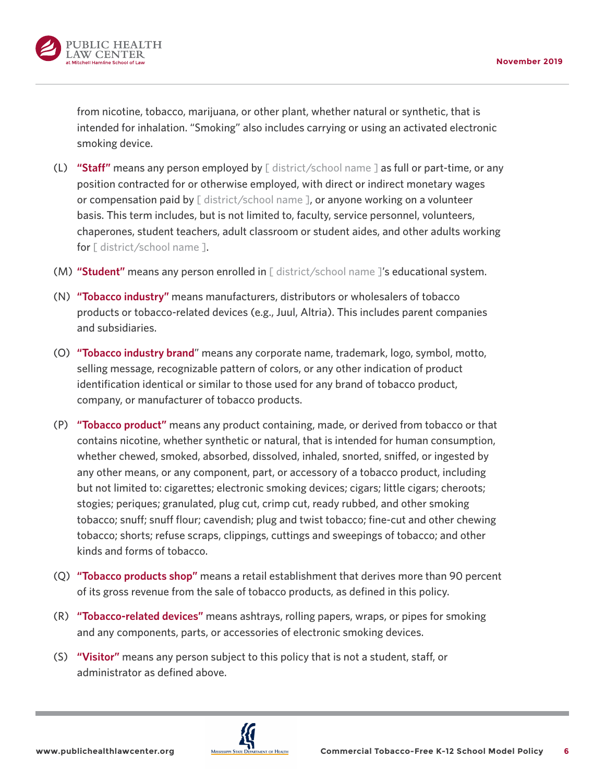

from nicotine, tobacco, marijuana, or other plant, whether natural or synthetic, that is intended for inhalation. "Smoking" also includes carrying or using an activated electronic smoking device.

- (L) **"Staff"** means any person employed by [ district/school name ] as full or part-time, or any position contracted for or otherwise employed, with direct or indirect monetary wages or compensation paid by  $[$  district/school name  $]$ , or anyone working on a volunteer basis. This term includes, but is not limited to, faculty, service personnel, volunteers, chaperones, student teachers, adult classroom or student aides, and other adults working for [ district/school name ].
- (M) **"Student"** means any person enrolled in [ district/school name ]'s educational system.
- (N) **"Tobacco industry"** means manufacturers, distributors or wholesalers of tobacco products or tobacco-related devices (e.g., Juul, Altria). This includes parent companies and subsidiaries.
- (O) **"Tobacco industry brand**" means any corporate name, trademark, logo, symbol, motto, selling message, recognizable pattern of colors, or any other indication of product identification identical or similar to those used for any brand of tobacco product, company, or manufacturer of tobacco products.
- (P) **"Tobacco product"** means any product containing, made, or derived from tobacco or that contains nicotine, whether synthetic or natural, that is intended for human consumption, whether chewed, smoked, absorbed, dissolved, inhaled, snorted, sniffed, or ingested by any other means, or any component, part, or accessory of a tobacco product, including but not limited to: cigarettes; electronic smoking devices; cigars; little cigars; cheroots; stogies; periques; granulated, plug cut, crimp cut, ready rubbed, and other smoking tobacco; snuff; snuff flour; cavendish; plug and twist tobacco; fine-cut and other chewing tobacco; shorts; refuse scraps, clippings, cuttings and sweepings of tobacco; and other kinds and forms of tobacco.
- (Q) **"Tobacco products shop"** means a retail establishment that derives more than 90 percent of its gross revenue from the sale of tobacco products, as defined in this policy.
- (R) **"Tobacco-related devices"** means ashtrays, rolling papers, wraps, or pipes for smoking and any components, parts, or accessories of electronic smoking devices.
- (S) **"Visitor"** means any person subject to this policy that is not a student, staff, or administrator as defined above.

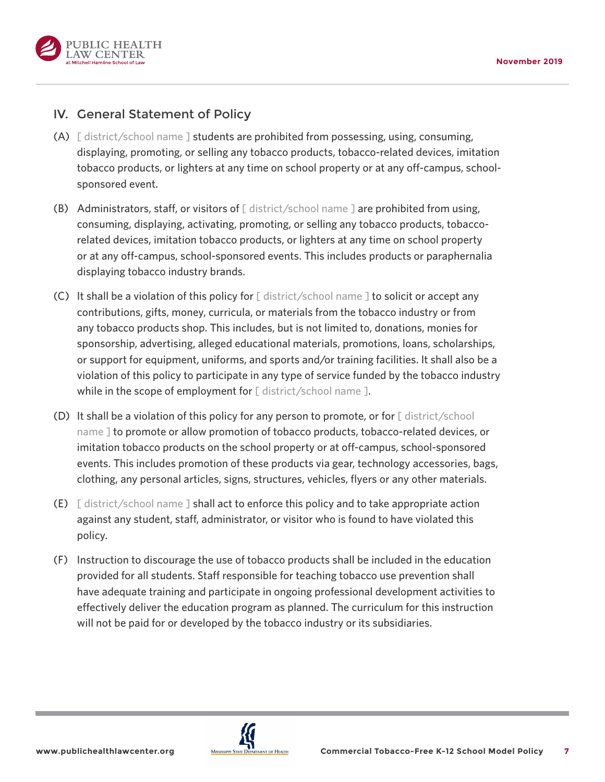

## IV. General Statement of Policy

- (A)  $\lceil$  district/school name  $\lceil$  students are prohibited from possessing, using, consuming, displaying, promoting, or selling any tobacco products, tobacco-related devices, imitation tobacco products, or lighters at any time on school property or at any off-campus, schoolsponsored event.
- (B) Administrators, staff, or visitors of  $\lceil$  district/school name  $\lceil$  are prohibited from using, consuming, displaying, activating, promoting, or selling any tobacco products, tobaccorelated devices, imitation tobacco products, or lighters at any time on school property or at any off-campus, school-sponsored events. This includes products or paraphernalia displaying tobacco industry brands.
- (C) It shall be a violation of this policy for [ district/school name ] to solicit or accept any contributions, gifts, money, curricula, or materials from the tobacco industry or from any tobacco products shop. This includes, but is not limited to, donations, monies for sponsorship, advertising, alleged educational materials, promotions, loans, scholarships, or support for equipment, uniforms, and sports and/or training facilities. It shall also be a violation of this policy to participate in any type of service funded by the tobacco industry while in the scope of employment for [ district/school name ].
- (D) It shall be a violation of this policy for any person to promote, or for  $\lceil$  district/school name ] to promote or allow promotion of tobacco products, tobacco-related devices, or imitation tobacco products on the school property or at off-campus, school-sponsored events. This includes promotion of these products via gear, technology accessories, bags, clothing, any personal articles, signs, structures, vehicles, flyers or any other materials.
- (E) [ district/school name ] shall act to enforce this policy and to take appropriate action against any student, staff, administrator, or visitor who is found to have violated this policy.
- (F) Instruction to discourage the use of tobacco products shall be included in the education provided for all students. Staff responsible for teaching tobacco use prevention shall have adequate training and participate in ongoing professional development activities to effectively deliver the education program as planned. The curriculum for this instruction will not be paid for or developed by the tobacco industry or its subsidiaries.

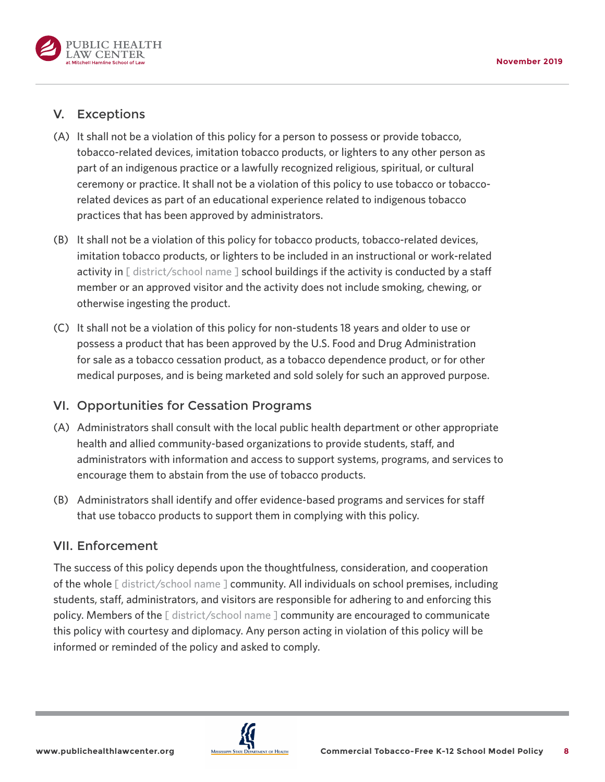

## V. Exceptions

- (A) It shall not be a violation of this policy for a person to possess or provide tobacco, tobacco-related devices, imitation tobacco products, or lighters to any other person as part of an indigenous practice or a lawfully recognized religious, spiritual, or cultural ceremony or practice. It shall not be a violation of this policy to use tobacco or tobaccorelated devices as part of an educational experience related to indigenous tobacco practices that has been approved by administrators.
- (B) It shall not be a violation of this policy for tobacco products, tobacco-related devices, imitation tobacco products, or lighters to be included in an instructional or work-related activity in [ district/school name ] school buildings if the activity is conducted by a staff member or an approved visitor and the activity does not include smoking, chewing, or otherwise ingesting the product.
- (C) It shall not be a violation of this policy for non-students 18 years and older to use or possess a product that has been approved by the U.S. Food and Drug Administration for sale as a tobacco cessation product, as a tobacco dependence product, or for other medical purposes, and is being marketed and sold solely for such an approved purpose.

### VI. Opportunities for Cessation Programs

- (A) Administrators shall consult with the local public health department or other appropriate health and allied community-based organizations to provide students, staff, and administrators with information and access to support systems, programs, and services to encourage them to abstain from the use of tobacco products.
- (B) Administrators shall identify and offer evidence-based programs and services for staff that use tobacco products to support them in complying with this policy.

### VII. Enforcement

The success of this policy depends upon the thoughtfulness, consideration, and cooperation of the whole [ district/school name ] community. All individuals on school premises, including students, staff, administrators, and visitors are responsible for adhering to and enforcing this policy. Members of the [ district/school name ] community are encouraged to communicate this policy with courtesy and diplomacy. Any person acting in violation of this policy will be informed or reminded of the policy and asked to comply.

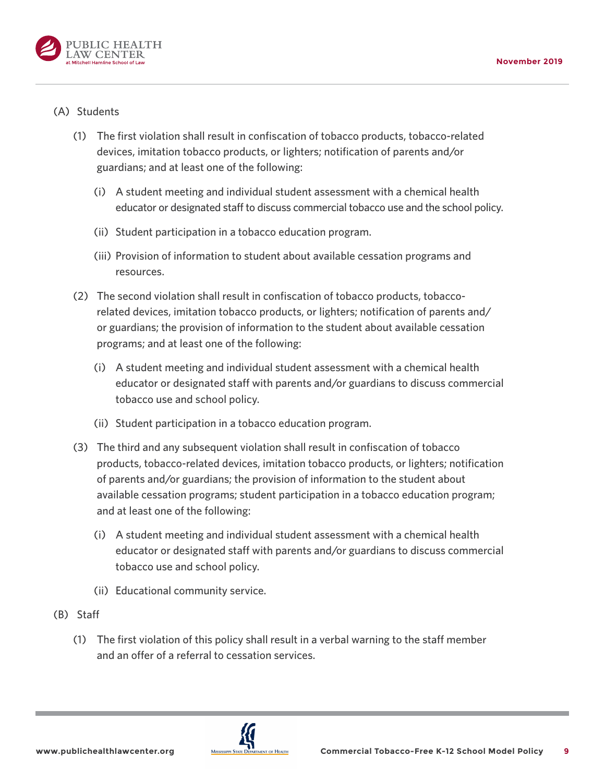

#### (A) Students

- (1) The first violation shall result in confiscation of tobacco products, tobacco-related devices, imitation tobacco products, or lighters; notification of parents and/or guardians; and at least one of the following:
	- (i) A student meeting and individual student assessment with a chemical health educator or designated staff to discuss commercial tobacco use and the school policy.
	- (ii) Student participation in a tobacco education program.
	- (iii) Provision of information to student about available cessation programs and resources.
- (2) The second violation shall result in confiscation of tobacco products, tobaccorelated devices, imitation tobacco products, or lighters; notification of parents and/ or guardians; the provision of information to the student about available cessation programs; and at least one of the following:
	- (i) A student meeting and individual student assessment with a chemical health educator or designated staff with parents and/or guardians to discuss commercial tobacco use and school policy.
	- (ii) Student participation in a tobacco education program.
- (3) The third and any subsequent violation shall result in confiscation of tobacco products, tobacco-related devices, imitation tobacco products, or lighters; notification of parents and/or guardians; the provision of information to the student about available cessation programs; student participation in a tobacco education program; and at least one of the following:
	- (i) A student meeting and individual student assessment with a chemical health educator or designated staff with parents and/or guardians to discuss commercial tobacco use and school policy.
	- (ii) Educational community service.
- (B) Staff
	- (1) The first violation of this policy shall result in a verbal warning to the staff member and an offer of a referral to cessation services.

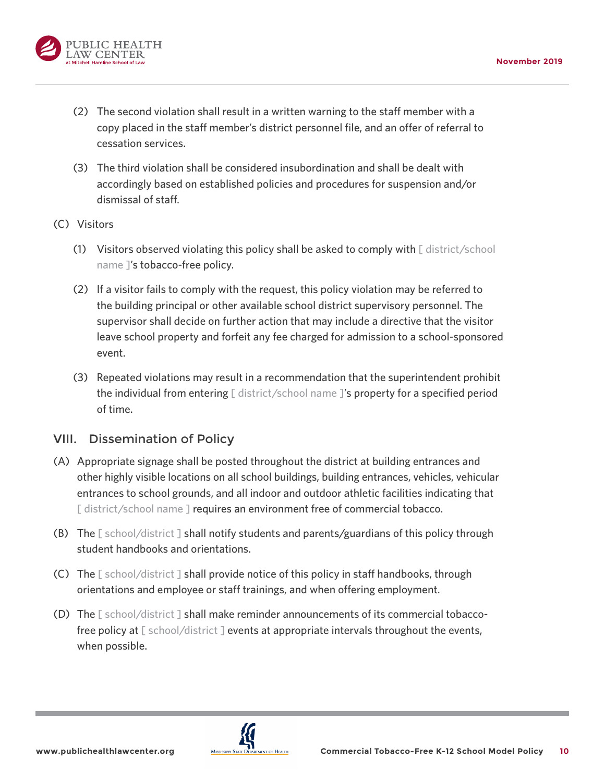

- (2) The second violation shall result in a written warning to the staff member with a copy placed in the staff member's district personnel file, and an offer of referral to cessation services.
- (3) The third violation shall be considered insubordination and shall be dealt with accordingly based on established policies and procedures for suspension and/or dismissal of staff.
- (C) Visitors
	- (1) Visitors observed violating this policy shall be asked to comply with [ district/school name ]'s tobacco-free policy.
	- (2) If a visitor fails to comply with the request, this policy violation may be referred to the building principal or other available school district supervisory personnel. The supervisor shall decide on further action that may include a directive that the visitor leave school property and forfeit any fee charged for admission to a school-sponsored event.
	- (3) Repeated violations may result in a recommendation that the superintendent prohibit the individual from entering  $\lceil$  district/school name  $\lceil$ 's property for a specified period of time.

## VIII. Dissemination of Policy

- (A) Appropriate signage shall be posted throughout the district at building entrances and other highly visible locations on all school buildings, building entrances, vehicles, vehicular entrances to school grounds, and all indoor and outdoor athletic facilities indicating that [ district/school name ] requires an environment free of commercial tobacco.
- (B) The  $\lceil$  school/district  $\lceil$  shall notify students and parents/guardians of this policy through student handbooks and orientations.
- (C) The [ school/district ] shall provide notice of this policy in staff handbooks, through orientations and employee or staff trainings, and when offering employment.
- (D) The [ school/district ] shall make reminder announcements of its commercial tobaccofree policy at [ school/district ] events at appropriate intervals throughout the events, when possible.

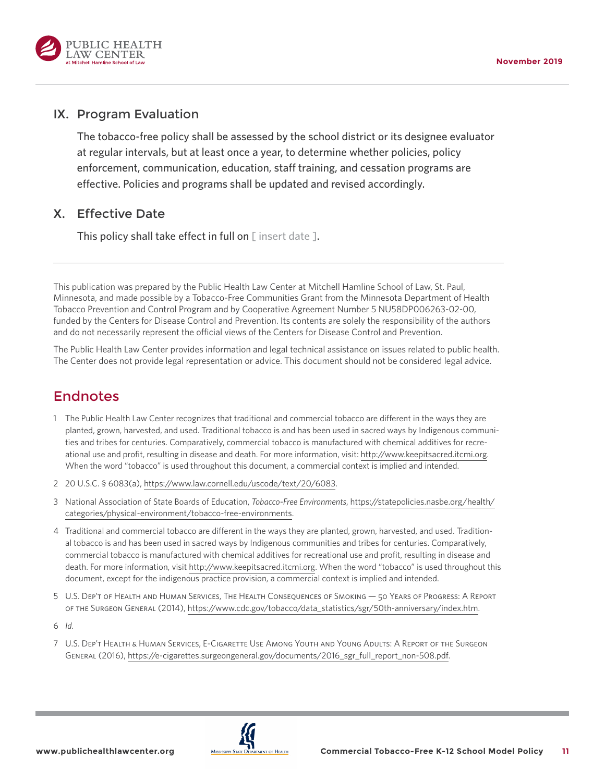<span id="page-10-0"></span>

#### IX. Program Evaluation

The tobacco-free policy shall be assessed by the school district or its designee evaluator at regular intervals, but at least once a year, to determine whether policies, policy enforcement, communication, education, staff training, and cessation programs are effective. Policies and programs shall be updated and revised accordingly.

### X. Effective Date

This policy shall take effect in full on  $[$  insert date  $]$ .

This publication was prepared by the Public Health Law Center at Mitchell Hamline School of Law, St. Paul, Minnesota, and made possible by a Tobacco-Free Communities Grant from the Minnesota Department of Health Tobacco Prevention and Control Program and by Cooperative Agreement Number 5 NU58DP006263-02-00, funded by the Centers for Disease Control and Prevention. Its contents are solely the responsibility of the authors and do not necessarily represent the official views of the Centers for Disease Control and Prevention.

The Public Health Law Center provides information and legal technical assistance on issues related to public health. The Center does not provide legal representation or advice. This document should not be considered legal advice.

## Endnotes

- [1](#page-0-0) The Public Health Law Center recognizes that traditional and commercial tobacco are different in the ways they are planted, grown, harvested, and used. Traditional tobacco is and has been used in sacred ways by Indigenous communities and tribes for centuries. Comparatively, commercial tobacco is manufactured with chemical additives for recreational use and profit, resulting in disease and death. For more information, visit: [http://www.keepitsacred.itcmi.org.](http://www.keepitsacred.itcmi.org) When the word "tobacco" is used throughout this document, a commercial context is implied and intended.
- [2](#page-0-0) 20 U.S.C. § 6083(a), [https://www.law.cornell.edu/uscode/text/20/6083.](https://www.law.cornell.edu/uscode/text/20/6083)
- [3](#page-0-0) National Association of State Boards of Education, *Tobacco-Free Environments*, [https://statepolicies.nasbe.org/health/](https://statepolicies.nasbe.org/health/categories/physical-environment/tobacco-free-environments) [categories/physical-environment/tobacco-free-environments.](https://statepolicies.nasbe.org/health/categories/physical-environment/tobacco-free-environments)
- [4](#page-2-0) Traditional and commercial tobacco are different in the ways they are planted, grown, harvested, and used. Traditional tobacco is and has been used in sacred ways by Indigenous communities and tribes for centuries. Comparatively, commercial tobacco is manufactured with chemical additives for recreational use and profit, resulting in disease and death. For more information, visit<http://www.keepitsacred.itcmi.org>. When the word "tobacco" is used throughout this document, except for the indigenous practice provision, a commercial context is implied and intended.
- [5](#page-2-0) U.S. Dep't of Health and Human Services, The Health Consequences of Smoking 50 Years of Progress: A Report of the Surgeon General (2014), [https://www.cdc.gov/tobacco/data\\_statistics/sgr/50th-anniversary/index.htm.](https://www.cdc.gov/tobacco/data_statistics/sgr/50th-anniversary/index.htm)

[6](#page-2-0) *Id*.

[7](#page-2-0) U.S. Dep't Health & Human Services, E-Cigarette Use Among Youth and Young Adults: A Report of the Surgeon General (2016), [https://e-cigarettes.surgeongeneral.gov/documents/2016\\_sgr\\_full\\_report\\_non-508.pdf.](https://e-cigarettes.surgeongeneral.gov/documents/2016_sgr_full_report_non-508.pdf)